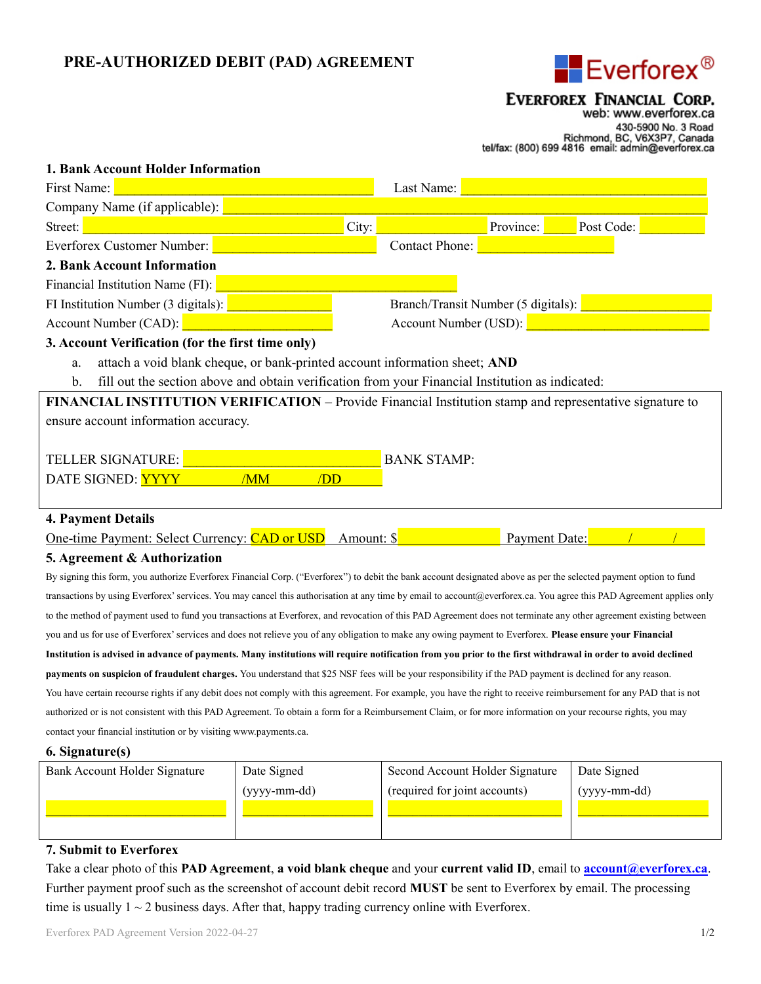# PRE-AUTHORIZED DEBIT (PAD) AGREEMENT



## EVERFOREX FINANCIAL CORP.

web: www.everforex.ca 430-5900 No. 3 Road<br>Richmond, BC, V6X3P7, Canada<br>tel/fax: (800) 699 4816 email: admin@everforex.ca

| 1. Bank Account Holder Information                                                                                                                                   |                                                    |                       |           |            |  |  |
|----------------------------------------------------------------------------------------------------------------------------------------------------------------------|----------------------------------------------------|-----------------------|-----------|------------|--|--|
| First Name:                                                                                                                                                          |                                                    | Last Name:            |           |            |  |  |
| Company Name (if applicable):                                                                                                                                        |                                                    |                       |           |            |  |  |
| Street:                                                                                                                                                              | City:                                              |                       | Province: | Post Code: |  |  |
| Everforex Customer Number:                                                                                                                                           |                                                    | <b>Contact Phone:</b> |           |            |  |  |
| 2. Bank Account Information                                                                                                                                          |                                                    |                       |           |            |  |  |
| Financial Institution Name (FI):                                                                                                                                     |                                                    |                       |           |            |  |  |
| FI Institution Number (3 digitals):                                                                                                                                  | Branch/Transit Number (5 digitals):                |                       |           |            |  |  |
| Account Number (CAD):                                                                                                                                                | Account Number (USD): <b>Account Number</b> (USD): |                       |           |            |  |  |
| 3. Account Verification (for the first time only)                                                                                                                    |                                                    |                       |           |            |  |  |
| attach a void blank cheque, or bank-printed account information sheet; AND<br>a.                                                                                     |                                                    |                       |           |            |  |  |
| fill out the section above and obtain verification from your Financial Institution as indicated:<br>$\mathbf{b}$ .                                                   |                                                    |                       |           |            |  |  |
| FINANCIAL INSTITUTION VERIFICATION - Provide Financial Institution stamp and representative signature to                                                             |                                                    |                       |           |            |  |  |
| ensure account information accuracy.                                                                                                                                 |                                                    |                       |           |            |  |  |
|                                                                                                                                                                      |                                                    |                       |           |            |  |  |
| <b>TELLER SIGNATURE:</b>                                                                                                                                             | <b>BANK STAMP:</b>                                 |                       |           |            |  |  |
| DATE SIGNED: YYYY<br>/MM<br>/DD                                                                                                                                      |                                                    |                       |           |            |  |  |
|                                                                                                                                                                      |                                                    |                       |           |            |  |  |
| <b>4. Payment Details</b>                                                                                                                                            |                                                    |                       |           |            |  |  |
| One-time Payment: Select Currency: CAD or USD<br>Payment Date:<br>Amount: \$                                                                                         |                                                    |                       |           |            |  |  |
| 5. Agreement & Authorization                                                                                                                                         |                                                    |                       |           |            |  |  |
| By signing this form, you authorize Everforex Financial Corp. ("Everforex") to debit the bank account designated above as per the selected payment option to fund    |                                                    |                       |           |            |  |  |
| transactions by using Everforex' services. You may cancel this authorisation at any time by email to account@everforex.ca. You agree this PAD Agreement applies only |                                                    |                       |           |            |  |  |
| to the method of payment used to fund you transactions at Everforex, and revocation of this PAD Agreement does not terminate any other agreement existing between    |                                                    |                       |           |            |  |  |
| you and us for use of Everforex' services and does not relieve you of any obligation to make any owing payment to Everforex. Please ensure your Financial            |                                                    |                       |           |            |  |  |
| Institution is advised in advance of payments. Many institutions will require notification from you prior to the first withdrawal in order to avoid declined         |                                                    |                       |           |            |  |  |
| payments on suspicion of fraudulent charges. You understand that \$25 NSF fees will be your responsibility if the PAD payment is declined for any reason.            |                                                    |                       |           |            |  |  |
|                                                                                                                                                                      |                                                    |                       |           |            |  |  |

You have certain recourse rights if any debit does not comply with this agreement. For example, you have the right to receive reimbursement for any PAD that is not authorized or is not consistent with this PAD Agreement. To obtain a form for a Reimbursement Claim, or for more information on your recourse rights, you may contact your financial institution or by visiting www.payments.ca.

#### 6. Signature(s)

| Bank Account Holder Signature | Date Signed  | Second Account Holder Signature | Date Signed  |
|-------------------------------|--------------|---------------------------------|--------------|
|                               | (yyyy-mm-dd) | (required for joint accounts)   | (yyyy-mm-dd) |
|                               |              |                                 |              |
|                               |              |                                 |              |

### 7. Submit to Everforex

Take a clear photo of this **PAD Agreement, a void blank cheque** and your **current valid ID**, email to **account@everforex.ca**. Further payment proof such as the screenshot of account debit record MUST be sent to Everforex by email. The processing time is usually  $1 \sim 2$  business days. After that, happy trading currency online with Everforex.